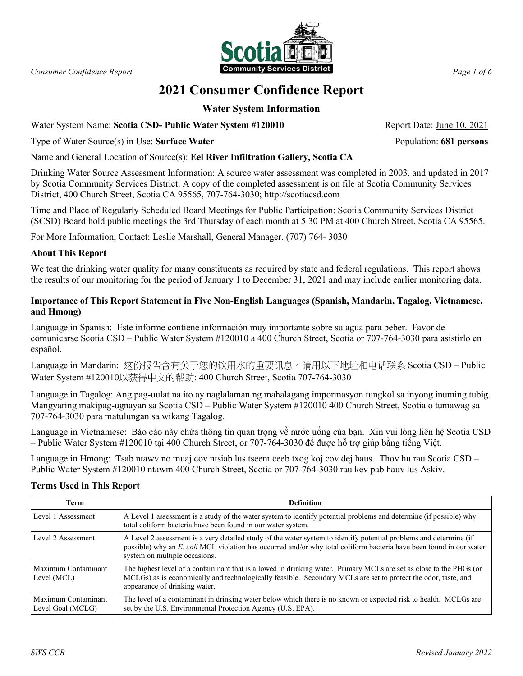

# **2021 Consumer Confidence Report**

# **Water System Information**

Water System Name: Scotia CSD- Public Water System #120010 Report Date: June 10, 2021

Type of Water Source(s) in Use: **Surface Water** Population: **681 persons**

Name and General Location of Source(s): **Eel River Infiltration Gallery, Scotia CA**

Drinking Water Source Assessment Information: A source water assessment was completed in 2003, and updated in 2017 by Scotia Community Services District. A copy of the completed assessment is on file at Scotia Community Services District, 400 Church Street, Scotia CA 95565, 707-764-3030; http://scotiacsd.com

Time and Place of Regularly Scheduled Board Meetings for Public Participation: Scotia Community Services District (SCSD) Board hold public meetings the 3rd Thursday of each month at 5:30 PM at 400 Church Street, Scotia CA 95565.

For More Information, Contact: Leslie Marshall, General Manager. (707) 764- 3030

### **About This Report**

We test the drinking water quality for many constituents as required by state and federal regulations. This report shows the results of our monitoring for the period of January 1 to December 31, 2021 and may include earlier monitoring data.

## **Importance of This Report Statement in Five Non-English Languages (Spanish, Mandarin, Tagalog, Vietnamese, and Hmong)**

Language in Spanish: Este informe contiene información muy importante sobre su agua para beber. Favor de comunicarse Scotia CSD – Public Water System #120010 a 400 Church Street, Scotia or 707-764-3030 para asistirlo en español.

Language in Mandarin: 这份报告含有关于您的饮用水的重要讯息。请用以下地址和电话联系 Scotia CSD – Public Water System #120010以获得中文的帮助: 400 Church Street, Scotia 707-764-3030

Language in Tagalog: Ang pag-uulat na ito ay naglalaman ng mahalagang impormasyon tungkol sa inyong inuming tubig. Mangyaring makipag-ugnayan sa Scotia CSD – Public Water System #120010 400 Church Street, Scotia o tumawag sa 707-764-3030 para matulungan sa wikang Tagalog.

Language in Vietnamese: Báo cáo này chứa thông tin quan trọng về nước uống của bạn. Xin vui lòng liên hệ Scotia CSD – Public Water System #120010 tại 400 Church Street, or 707-764-3030 để được hỗ trợ giúp bằng tiếng Việt.

Language in Hmong: Tsab ntawv no muaj cov ntsiab lus tseem ceeb txog koj cov dej haus. Thov hu rau Scotia CSD – Public Water System #120010 ntawm 400 Church Street, Scotia or 707-764-3030 rau kev pab hauv lus Askiv.

### **Terms Used in This Report**

| Term                                     | <b>Definition</b>                                                                                                                                                                                                                                                          |
|------------------------------------------|----------------------------------------------------------------------------------------------------------------------------------------------------------------------------------------------------------------------------------------------------------------------------|
| Level 1 Assessment                       | A Level 1 assessment is a study of the water system to identify potential problems and determine (if possible) why<br>total coliform bacteria have been found in our water system.                                                                                         |
| Level 2 Assessment                       | A Level 2 assessment is a very detailed study of the water system to identify potential problems and determine (if<br>possible) why an E. coli MCL violation has occurred and/or why total coliform bacteria have been found in our water<br>system on multiple occasions. |
| Maximum Contaminant<br>Level (MCL)       | The highest level of a contaminant that is allowed in drinking water. Primary MCLs are set as close to the PHGs (or<br>MCLGs) as is economically and technologically feasible. Secondary MCLs are set to protect the odor, taste, and<br>appearance of drinking water.     |
| Maximum Contaminant<br>Level Goal (MCLG) | The level of a contaminant in drinking water below which there is no known or expected risk to health. MCLGs are<br>set by the U.S. Environmental Protection Agency (U.S. EPA).                                                                                            |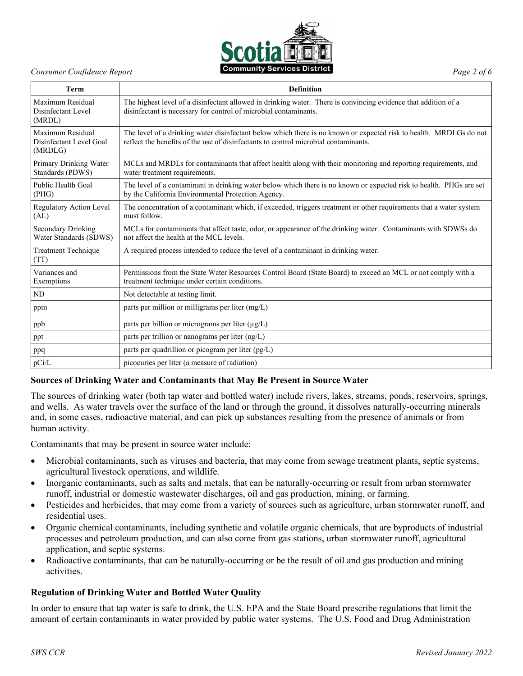

**Term Definition** Maximum Residual Disinfectant Level (MRDL) The highest level of a disinfectant allowed in drinking water. There is convincing evidence that addition of a disinfectant is necessary for control of microbial contaminants. Maximum Residual Disinfectant Level Goal (MRDLG) The level of a drinking water disinfectant below which there is no known or expected risk to health. MRDLGs do not reflect the benefits of the use of disinfectants to control microbial contaminants. Primary Drinking Water Standards (PDWS) MCLs and MRDLs for contaminants that affect health along with their monitoring and reporting requirements, and water treatment requirements. Public Health Goal (PHG) The level of a contaminant in drinking water below which there is no known or expected risk to health. PHGs are set by the California Environmental Protection Agency. Regulatory Action Level (AL) The concentration of a contaminant which, if exceeded, triggers treatment or other requirements that a water system must follow. Secondary Drinking Water Standards (SDWS) MCLs for contaminants that affect taste, odor, or appearance of the drinking water. Contaminants with SDWSs do not affect the health at the MCL levels. Treatment Technique (TT) A required process intended to reduce the level of a contaminant in drinking water. Variances and Exemptions Permissions from the State Water Resources Control Board (State Board) to exceed an MCL or not comply with a treatment technique under certain conditions. ND Not detectable at testing limit. ppm parts per million or milligrams per liter (mg/L) ppb parts per billion or micrograms per liter  $(\mu g/L)$ ppt parts per trillion or nanograms per liter (ng/L) ppq parts per quadrillion or picogram per liter (pg/L) pCi/L picocuries per liter (a measure of radiation)

### **Sources of Drinking Water and Contaminants that May Be Present in Source Water**

The sources of drinking water (both tap water and bottled water) include rivers, lakes, streams, ponds, reservoirs, springs, and wells. As water travels over the surface of the land or through the ground, it dissolves naturally-occurring minerals and, in some cases, radioactive material, and can pick up substances resulting from the presence of animals or from human activity.

Contaminants that may be present in source water include:

- Microbial contaminants, such as viruses and bacteria, that may come from sewage treatment plants, septic systems, agricultural livestock operations, and wildlife.
- Inorganic contaminants, such as salts and metals, that can be naturally-occurring or result from urban stormwater runoff, industrial or domestic wastewater discharges, oil and gas production, mining, or farming.
- Pesticides and herbicides, that may come from a variety of sources such as agriculture, urban stormwater runoff, and residential uses.
- Organic chemical contaminants, including synthetic and volatile organic chemicals, that are byproducts of industrial processes and petroleum production, and can also come from gas stations, urban stormwater runoff, agricultural application, and septic systems.
- Radioactive contaminants, that can be naturally-occurring or be the result of oil and gas production and mining activities.

### **Regulation of Drinking Water and Bottled Water Quality**

In order to ensure that tap water is safe to drink, the U.S. EPA and the State Board prescribe regulations that limit the amount of certain contaminants in water provided by public water systems. The U.S. Food and Drug Administration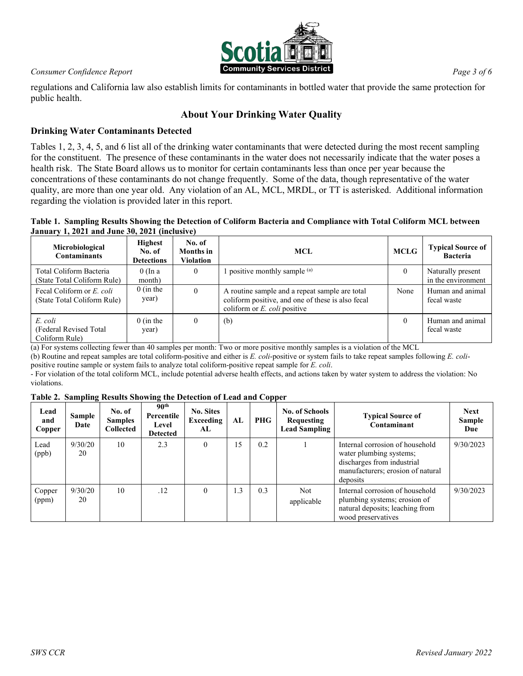

regulations and California law also establish limits for contaminants in bottled water that provide the same protection for public health.

# **About Your Drinking Water Quality**

# **Drinking Water Contaminants Detected**

Tables 1, 2, 3, 4, 5, and 6 list all of the drinking water contaminants that were detected during the most recent sampling for the constituent. The presence of these contaminants in the water does not necessarily indicate that the water poses a health risk. The State Board allows us to monitor for certain contaminants less than once per year because the concentrations of these contaminants do not change frequently. Some of the data, though representative of the water quality, are more than one year old. Any violation of an AL, MCL, MRDL, or TT is asterisked. Additional information regarding the violation is provided later in this report.

### **Table 1. Sampling Results Showing the Detection of Coliform Bacteria and Compliance with Total Coliform MCL between January 1, 2021 and June 30, 2021 (inclusive)**

| Microbiological<br><b>Contaminants</b>                   | <b>Highest</b><br>No. of<br><b>Detections</b> | No. of<br><b>Months</b> in<br>Violation | <b>MCL</b>                                                                                                                             | <b>MCLG</b> | <b>Typical Source of</b><br><b>Bacteria</b> |
|----------------------------------------------------------|-----------------------------------------------|-----------------------------------------|----------------------------------------------------------------------------------------------------------------------------------------|-------------|---------------------------------------------|
| Total Coliform Bacteria<br>(State Total Coliform Rule)   | $0$ (In a<br>month)                           | $\theta$                                | 1 positive monthly sample <sup>(a)</sup>                                                                                               | $\theta$    | Naturally present<br>in the environment     |
| Fecal Coliform or E. coli<br>(State Total Coliform Rule) | $0$ (in the<br>year)                          | $\theta$                                | A routine sample and a repeat sample are total<br>coliform positive, and one of these is also fecal<br>coliform or $E$ , coli positive | None        | Human and animal<br>fecal waste             |
| E. coli<br>(Federal Revised Total)<br>Coliform Rule)     | $0$ (in the<br>year)                          | $\theta$                                | (b)                                                                                                                                    | $\Omega$    | Human and animal<br>fecal waste             |

(a) For systems collecting fewer than 40 samples per month: Two or more positive monthly samples is a violation of the MCL (b) Routine and repeat samples are total coliform-positive and either is *E. coli*-positive or system fails to take repeat samples following *E. coli*positive routine sample or system fails to analyze total coliform-positive repeat sample for *E. coli*.

- For violation of the total coliform MCL, include potential adverse health effects, and actions taken by water system to address the violation: No violations.

### **Table 2. Sampling Results Showing the Detection of Lead and Copper**

| Lead<br>and<br>Copper | <b>Sample</b><br>Date | No. of<br><b>Samples</b><br><b>Collected</b> | 90 <sup>th</sup><br>Percentile<br>Level<br>Detected | <b>No. Sites</b><br>Exceeding<br>AL | AL  | <b>PHG</b> | <b>No. of Schools</b><br>Requesting<br><b>Lead Sampling</b> | <b>Typical Source of</b><br>Contaminant                                                                                                   | <b>Next</b><br>Sample<br>Due |
|-----------------------|-----------------------|----------------------------------------------|-----------------------------------------------------|-------------------------------------|-----|------------|-------------------------------------------------------------|-------------------------------------------------------------------------------------------------------------------------------------------|------------------------------|
| Lead<br>(ppb)         | 9/30/20<br>20         | 10                                           | 2.3                                                 | $\theta$                            | 15  | 0.2        |                                                             | Internal corrosion of household<br>water plumbing systems;<br>discharges from industrial<br>manufacturers; erosion of natural<br>deposits | 9/30/2023                    |
| Copper<br>(ppm)       | 9/30/20<br>20         | 10                                           | .12                                                 | $\theta$                            | 1.3 | 0.3        | Not.<br>applicable                                          | Internal corrosion of household<br>plumbing systems; erosion of<br>natural deposits; leaching from<br>wood preservatives                  | 9/30/2023                    |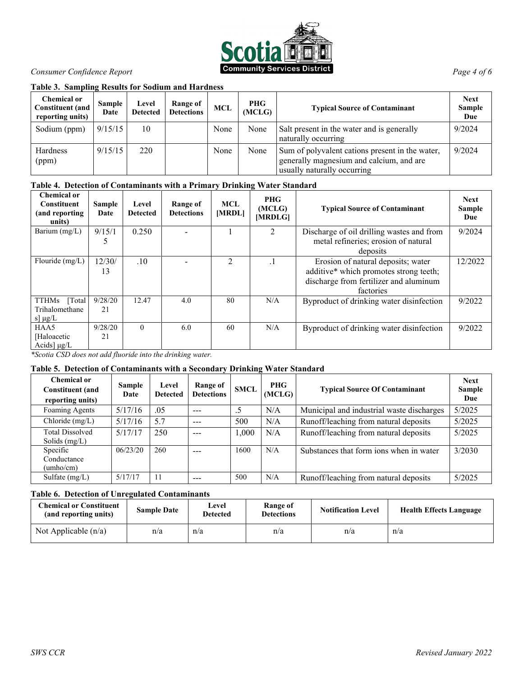

### **Table 3. Sampling Results for Sodium and Hardness**

| <b>Chemical or</b><br><b>Constituent</b> (and<br>reporting units) | <b>Sample</b><br>Date | Level<br><b>Detected</b> | Range of<br><b>Detections</b> | MCL  | <b>PHG</b><br>(MCLG) | <b>Typical Source of Contaminant</b>                                                                                       | <b>Next</b><br><b>Sample</b><br>Due |
|-------------------------------------------------------------------|-----------------------|--------------------------|-------------------------------|------|----------------------|----------------------------------------------------------------------------------------------------------------------------|-------------------------------------|
| Sodium (ppm)                                                      | 9/15/15               | 10                       |                               | None | None                 | Salt present in the water and is generally<br>naturally occurring                                                          | 9/2024                              |
| Hardness<br>(ppm)                                                 | 9/15/15               | 220                      |                               | None | None                 | Sum of polyvalent cations present in the water,<br>generally magnesium and calcium, and are<br>usually naturally occurring | 9/2024                              |

### **Table 4. Detection of Contaminants with a Primary Drinking Water Standard**

| <b>Chemical or</b><br><b>Constituent</b><br>(and reporting<br>units) | <b>Sample</b><br>Date | Level<br><b>Detected</b> | Range of<br><b>Detections</b> | <b>MCL</b><br>[MRDL] | <b>PHG</b><br>(MCLG)<br>[MRDLG] | <b>Typical Source of Contaminant</b>      | <b>Next</b><br>Sample<br>Due |
|----------------------------------------------------------------------|-----------------------|--------------------------|-------------------------------|----------------------|---------------------------------|-------------------------------------------|------------------------------|
| Barium $(mg/L)$                                                      | 9/15/1                | 0.250                    |                               |                      |                                 | Discharge of oil drilling wastes and from | 9/2024                       |
|                                                                      |                       |                          |                               |                      |                                 | metal refineries; erosion of natural      |                              |
|                                                                      |                       |                          |                               |                      |                                 | deposits                                  |                              |
| Flouride (mg/L)                                                      | 12/30/                | .10                      |                               | $\overline{2}$       |                                 | Erosion of natural deposits; water        | 12/2022                      |
|                                                                      | 13                    |                          |                               |                      |                                 | additive* which promotes strong teeth;    |                              |
|                                                                      |                       |                          |                               |                      |                                 | discharge from fertilizer and aluminum    |                              |
|                                                                      |                       |                          |                               |                      |                                 | factories                                 |                              |
| <b>TTHMs</b><br>[Total]                                              | 9/28/20               | 12.47                    | 4.0                           | 80                   | N/A                             | Byproduct of drinking water disinfection  | 9/2022                       |
| Trihalomethane                                                       | 21                    |                          |                               |                      |                                 |                                           |                              |
| s] $\mu$ g/L                                                         |                       |                          |                               |                      |                                 |                                           |                              |
| HAA5                                                                 | 9/28/20               | $\theta$                 | 6.0                           | 60                   | N/A                             | Byproduct of drinking water disinfection  | 9/2022                       |
| [Haloacetic]                                                         | 21                    |                          |                               |                      |                                 |                                           |                              |
| Acids] $\mu g/L$                                                     |                       |                          |                               |                      |                                 |                                           |                              |

*\*Scotia CSD does not add fluoride into the drinking water.*

### **Table 5. Detection of Contaminants with a Secondary Drinking Water Standard**

| Chemical or<br><b>Constituent</b> (and<br>reporting units) | <b>Sample</b><br>Date | Level<br><b>Detected</b> | Range of<br><b>Detections</b> | <b>SMCL</b> | <b>PHG</b><br>(MCLG) | <b>Typical Source Of Contaminant</b>      | <b>Next</b><br><b>Sample</b><br>Due |
|------------------------------------------------------------|-----------------------|--------------------------|-------------------------------|-------------|----------------------|-------------------------------------------|-------------------------------------|
| Foaming Agents                                             | 5/17/16               | .05                      | $- - -$                       | .5          | N/A                  | Municipal and industrial waste discharges | 5/2025                              |
| Chloride (mg/L)                                            | 5/17/16               | 5.7                      | $- - -$                       | 500         | N/A                  | Runoff/leaching from natural deposits     | 5/2025                              |
| <b>Total Dissolved</b><br>Solids $(mg/L)$                  | 5/17/17               | 250                      | $- - -$                       | 1.000       | N/A                  | Runoff/leaching from natural deposits     | 5/2025                              |
| Specific<br>Conductance<br>$(\text{umbo/cm})$              | 06/23/20              | 260                      | $- - -$                       | 1600        | N/A                  | Substances that form ions when in water   | 3/2030                              |
| Sulfate (mg/L)                                             | 5/17/17               | 11                       | ---                           | 500         | N/A                  | Runoff/leaching from natural deposits     | 5/2025                              |

### **Table 6. Detection of Unregulated Contaminants**

| <b>Chemical or Constituent</b><br>(and reporting units) | <b>Sample Date</b> | Level<br><b>Detected</b> | Range of<br><b>Detections</b> | <b>Notification Level</b> | <b>Health Effects Language</b> |
|---------------------------------------------------------|--------------------|--------------------------|-------------------------------|---------------------------|--------------------------------|
| Not Applicable $(n/a)$                                  | n/a                | n/a                      | n/a                           | n/a                       | n/a                            |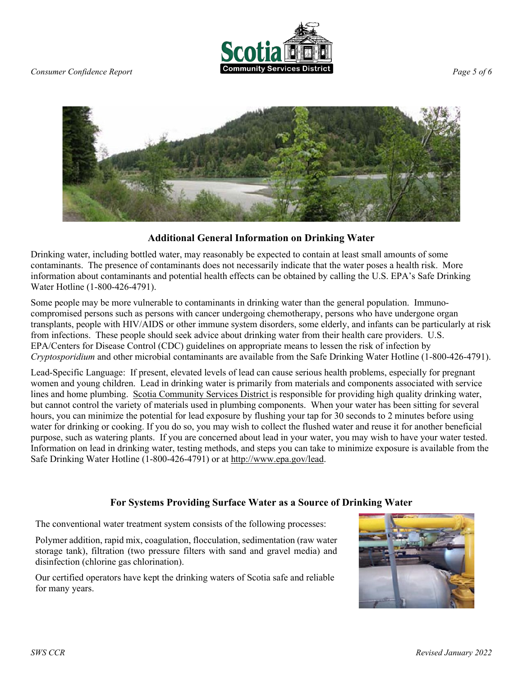



# **Additional General Information on Drinking Water**

Drinking water, including bottled water, may reasonably be expected to contain at least small amounts of some contaminants. The presence of contaminants does not necessarily indicate that the water poses a health risk. More information about contaminants and potential health effects can be obtained by calling the U.S. EPA's Safe Drinking Water Hotline (1-800-426-4791).

Some people may be more vulnerable to contaminants in drinking water than the general population. Immunocompromised persons such as persons with cancer undergoing chemotherapy, persons who have undergone organ transplants, people with HIV/AIDS or other immune system disorders, some elderly, and infants can be particularly at risk from infections. These people should seek advice about drinking water from their health care providers. U.S. EPA/Centers for Disease Control (CDC) guidelines on appropriate means to lessen the risk of infection by *Cryptosporidium* and other microbial contaminants are available from the Safe Drinking Water Hotline (1-800-426-4791).

Lead-Specific Language: If present, elevated levels of lead can cause serious health problems, especially for pregnant women and young children. Lead in drinking water is primarily from materials and components associated with service lines and home plumbing. Scotia Community Services District is responsible for providing high quality drinking water, but cannot control the variety of materials used in plumbing components. When your water has been sitting for several hours, you can minimize the potential for lead exposure by flushing your tap for 30 seconds to 2 minutes before using water for drinking or cooking. If you do so, you may wish to collect the flushed water and reuse it for another beneficial purpose, such as watering plants. If you are concerned about lead in your water, you may wish to have your water tested. Information on lead in drinking water, testing methods, and steps you can take to minimize exposure is available from the Safe Drinking Water Hotline (1-800-426-4791) or at [http://www.epa.gov/lead.](http://www.epa.gov/lead)

# **For Systems Providing Surface Water as a Source of Drinking Water**

The conventional water treatment system consists of the following processes:

Polymer addition, rapid mix, coagulation, flocculation, sedimentation (raw water storage tank), filtration (two pressure filters with sand and gravel media) and disinfection (chlorine gas chlorination).

Our certified operators have kept the drinking waters of Scotia safe and reliable for many years.